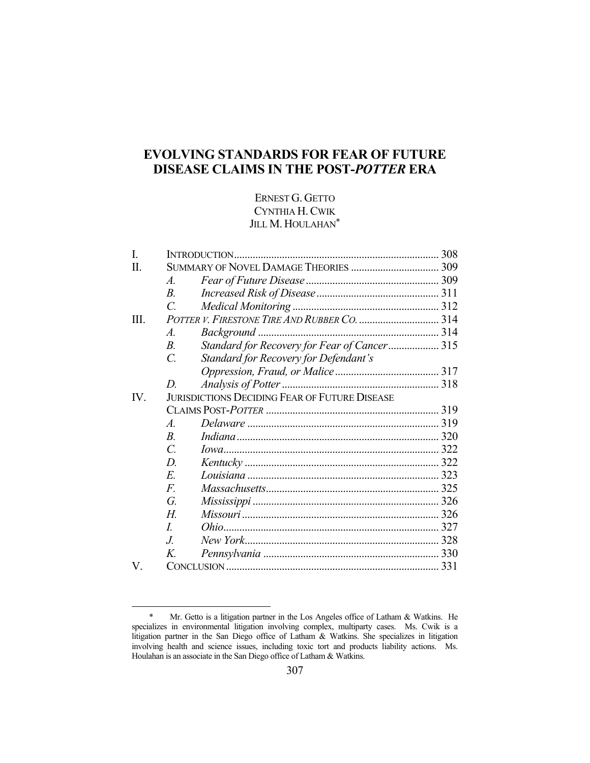# **EVOLVING STANDARDS FOR FEAR OF FUTURE DISEASE CLAIMS IN THE POST-***POTTER* **ERA**

# ERNEST G. GETTO CYNTHIA H.CWIK JILL M. HOULAHAN<sup>\*</sup>

| I.   |                                                      |                                              |  |
|------|------------------------------------------------------|----------------------------------------------|--|
| П.   |                                                      |                                              |  |
|      | $\mathcal{A}$ .                                      |                                              |  |
|      | $B_{\cdot}$                                          |                                              |  |
|      | $\mathcal{C}$ .                                      |                                              |  |
| III. | POTTER V. FIRESTONE TIRE AND RUBBER CO.  314         |                                              |  |
|      | $\mathcal{A}$ .                                      |                                              |  |
|      | $B_{\cdot}$                                          | Standard for Recovery for Fear of Cancer 315 |  |
|      | $\mathcal{C}$ .                                      | Standard for Recovery for Defendant's        |  |
|      |                                                      |                                              |  |
|      | D.                                                   |                                              |  |
| IV.  | <b>JURISDICTIONS DECIDING FEAR OF FUTURE DISEASE</b> |                                              |  |
|      |                                                      |                                              |  |
|      | $\mathcal{A}$ .                                      |                                              |  |
|      | $B$ .                                                |                                              |  |
|      | $\overline{C}$ .                                     |                                              |  |
|      | D.                                                   |                                              |  |
|      | E.                                                   |                                              |  |
|      | $F_{\cdot}$                                          |                                              |  |
|      | G.                                                   |                                              |  |
|      | H                                                    |                                              |  |
|      | $\overline{L}$                                       |                                              |  |
|      | J.                                                   |                                              |  |
|      | $K_{\cdot}$                                          |                                              |  |
| V.   |                                                      |                                              |  |

 <sup>\*</sup> Mr. Getto is a litigation partner in the Los Angeles office of Latham & Watkins. He specializes in environmental litigation involving complex, multiparty cases. Ms. Cwik is a litigation partner in the San Diego office of Latham & Watkins. She specializes in litigation involving health and science issues, including toxic tort and products liability actions. Ms. Houlahan is an associate in the San Diego office of Latham & Watkins.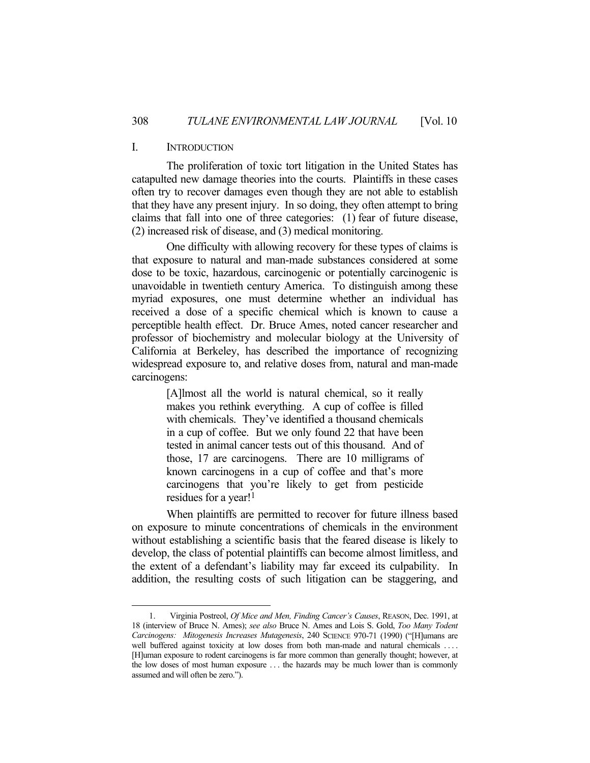#### I. INTRODUCTION

<u>.</u>

 The proliferation of toxic tort litigation in the United States has catapulted new damage theories into the courts. Plaintiffs in these cases often try to recover damages even though they are not able to establish that they have any present injury. In so doing, they often attempt to bring claims that fall into one of three categories: (1) fear of future disease, (2) increased risk of disease, and (3) medical monitoring.

 One difficulty with allowing recovery for these types of claims is that exposure to natural and man-made substances considered at some dose to be toxic, hazardous, carcinogenic or potentially carcinogenic is unavoidable in twentieth century America. To distinguish among these myriad exposures, one must determine whether an individual has received a dose of a specific chemical which is known to cause a perceptible health effect. Dr. Bruce Ames, noted cancer researcher and professor of biochemistry and molecular biology at the University of California at Berkeley, has described the importance of recognizing widespread exposure to, and relative doses from, natural and man-made carcinogens:

> [A]lmost all the world is natural chemical, so it really makes you rethink everything. A cup of coffee is filled with chemicals. They've identified a thousand chemicals in a cup of coffee. But we only found 22 that have been tested in animal cancer tests out of this thousand. And of those, 17 are carcinogens. There are 10 milligrams of known carcinogens in a cup of coffee and that's more carcinogens that you're likely to get from pesticide residues for a year!1

 When plaintiffs are permitted to recover for future illness based on exposure to minute concentrations of chemicals in the environment without establishing a scientific basis that the feared disease is likely to develop, the class of potential plaintiffs can become almost limitless, and the extent of a defendant's liability may far exceed its culpability. In addition, the resulting costs of such litigation can be staggering, and

 <sup>1.</sup> Virginia Postreol, *Of Mice and Men, Finding Cancer's Causes*, REASON, Dec. 1991, at 18 (interview of Bruce N. Ames); *see also* Bruce N. Ames and Lois S. Gold, *Too Many Todent Carcinogens: Mitogenesis Increases Mutagenesis*, 240 SCIENCE 970-71 (1990) ("[H]umans are well buffered against toxicity at low doses from both man-made and natural chemicals .... [H]uman exposure to rodent carcinogens is far more common than generally thought; however, at the low doses of most human exposure . . . the hazards may be much lower than is commonly assumed and will often be zero.").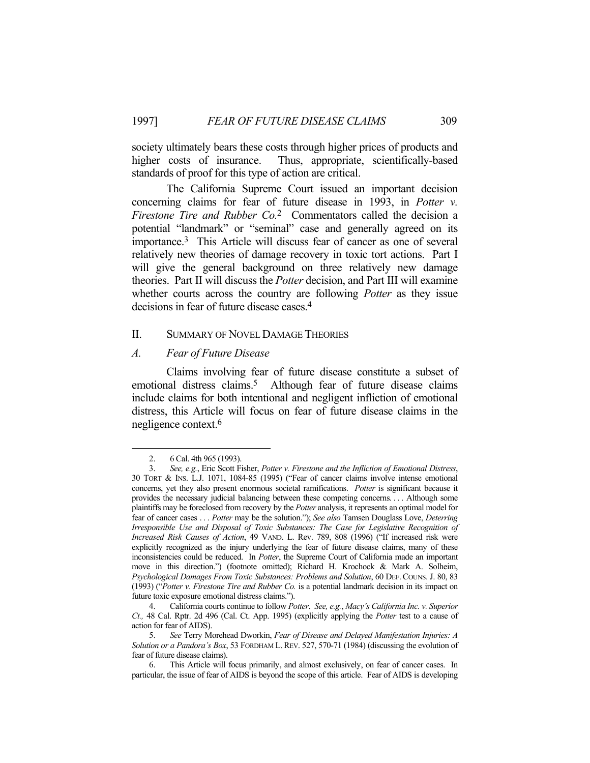society ultimately bears these costs through higher prices of products and higher costs of insurance. Thus, appropriate, scientifically-based standards of proof for this type of action are critical.

 The California Supreme Court issued an important decision concerning claims for fear of future disease in 1993, in *Potter v. Firestone Tire and Rubber Co.*2 Commentators called the decision a potential "landmark" or "seminal" case and generally agreed on its importance.3 This Article will discuss fear of cancer as one of several relatively new theories of damage recovery in toxic tort actions. Part I will give the general background on three relatively new damage theories. Part II will discuss the *Potter* decision, and Part III will examine whether courts across the country are following *Potter* as they issue decisions in fear of future disease cases.4

#### II. SUMMARY OF NOVEL DAMAGE THEORIES

#### *A. Fear of Future Disease*

 Claims involving fear of future disease constitute a subset of emotional distress claims.<sup>5</sup> Although fear of future disease claims include claims for both intentional and negligent infliction of emotional distress, this Article will focus on fear of future disease claims in the negligence context.6

 <sup>2. 6</sup> Cal. 4th 965 (1993).

 <sup>3.</sup> *See, e.g.*, Eric Scott Fisher, *Potter v. Firestone and the Infliction of Emotional Distress*, 30 TORT & INS. L.J. 1071, 1084-85 (1995) ("Fear of cancer claims involve intense emotional concerns, yet they also present enormous societal ramifications. *Potter* is significant because it provides the necessary judicial balancing between these competing concerns. . . . Although some plaintiffs may be foreclosed from recovery by the *Potter* analysis, it represents an optimal model for fear of cancer cases . . . *Potter* may be the solution."); *See also* Tamsen Douglass Love, *Deterring Irresponsible Use and Disposal of Toxic Substances: The Case for Legislative Recognition of Increased Risk Causes of Action*, 49 VAND. L. Rev. 789, 808 (1996) ("If increased risk were explicitly recognized as the injury underlying the fear of future disease claims, many of these inconsistencies could be reduced. In *Potter*, the Supreme Court of California made an important move in this direction.") (footnote omitted); Richard H. Krochock & Mark A. Solheim, *Psychological Damages From Toxic Substances: Problems and Solution*, 60 DEF. COUNS. J. 80, 83 (1993) ("*Potter v. Firestone Tire and Rubber Co.* is a potential landmark decision in its impact on future toxic exposure emotional distress claims.").

 <sup>4.</sup> California courts continue to follow *Potter*. *See, e.g.*, *Macy's California Inc. v. Superior Ct.,* 48 Cal. Rptr. 2d 496 (Cal. Ct. App. 1995) (explicitly applying the *Potter* test to a cause of action for fear of AIDS).

 <sup>5.</sup> *See* Terry Morehead Dworkin, *Fear of Disease and Delayed Manifestation Injuries: A Solution or a Pandora's Box*, 53 FORDHAM L.REV. 527, 570-71 (1984) (discussing the evolution of fear of future disease claims).

 <sup>6.</sup> This Article will focus primarily, and almost exclusively, on fear of cancer cases. In particular, the issue of fear of AIDS is beyond the scope of this article. Fear of AIDS is developing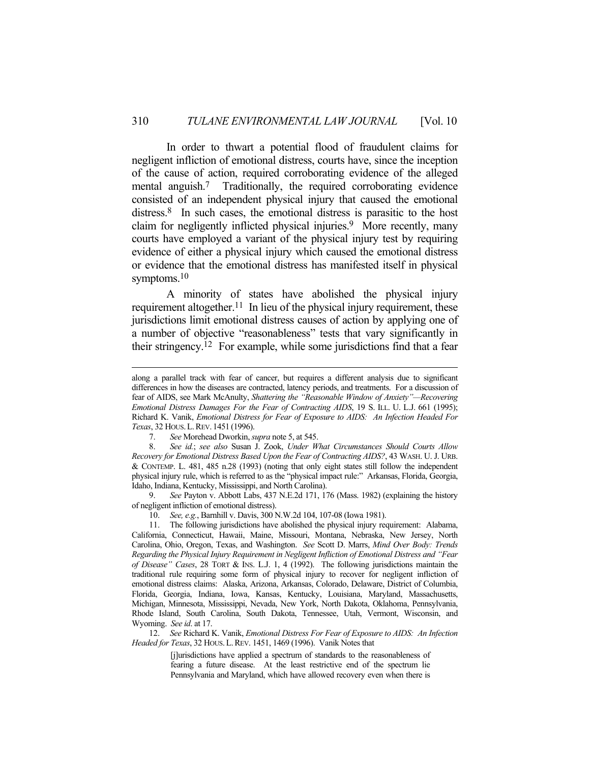In order to thwart a potential flood of fraudulent claims for negligent infliction of emotional distress, courts have, since the inception of the cause of action, required corroborating evidence of the alleged mental anguish.7 Traditionally, the required corroborating evidence consisted of an independent physical injury that caused the emotional distress.8 In such cases, the emotional distress is parasitic to the host claim for negligently inflicted physical injuries.<sup>9</sup> More recently, many courts have employed a variant of the physical injury test by requiring evidence of either a physical injury which caused the emotional distress or evidence that the emotional distress has manifested itself in physical symptoms.<sup>10</sup>

 A minority of states have abolished the physical injury requirement altogether.<sup>11</sup> In lieu of the physical injury requirement, these jurisdictions limit emotional distress causes of action by applying one of a number of objective "reasonableness" tests that vary significantly in their stringency.12 For example, while some jurisdictions find that a fear

 9. *See* Payton v. Abbott Labs, 437 N.E.2d 171, 176 (Mass. 1982) (explaining the history of negligent infliction of emotional distress).

10. *See, e.g.*, Barnhill v. Davis, 300 N.W.2d 104, 107-08 (Iowa 1981).

 12. *See* Richard K. Vanik, *Emotional Distress For Fear of Exposure to AIDS: An Infection Headed for Texas*, 32 HOUS.L.REV. 1451, 1469 (1996). Vanik Notes that

> [j]urisdictions have applied a spectrum of standards to the reasonableness of fearing a future disease. At the least restrictive end of the spectrum lie Pennsylvania and Maryland, which have allowed recovery even when there is

along a parallel track with fear of cancer, but requires a different analysis due to significant differences in how the diseases are contracted, latency periods, and treatments. For a discussion of fear of AIDS, see Mark McAnulty, *Shattering the "Reasonable Window of Anxiety"—Recovering Emotional Distress Damages For the Fear of Contracting AIDS*, 19 S. ILL. U. L.J. 661 (1995); Richard K. Vanik, *Emotional Distress for Fear of Exposure to AIDS: An Infection Headed For Texas*, 32 HOUS.L.REV. 1451 (1996).

 <sup>7.</sup> *See* Morehead Dworkin, *supra* note 5, at 545.

 <sup>8.</sup> *See id.*; *see also* Susan J. Zook, *Under What Circumstances Should Courts Allow Recovery for Emotional Distress Based Upon the Fear of Contracting AIDS?*, 43 WASH. U. J. URB. & CONTEMP. L. 481, 485 n.28 (1993) (noting that only eight states still follow the independent physical injury rule, which is referred to as the "physical impact rule:" Arkansas, Florida, Georgia, Idaho, Indiana, Kentucky, Mississippi, and North Carolina).

 <sup>11.</sup> The following jurisdictions have abolished the physical injury requirement: Alabama, California, Connecticut, Hawaii, Maine, Missouri, Montana, Nebraska, New Jersey, North Carolina, Ohio, Oregon, Texas, and Washington. *See* Scott D. Marrs, *Mind Over Body: Trends Regarding the Physical Injury Requirement in Negligent Infliction of Emotional Distress and "Fear of Disease" Cases*, 28 TORT & INS. L.J. 1, 4 (1992). The following jurisdictions maintain the traditional rule requiring some form of physical injury to recover for negligent infliction of emotional distress claims: Alaska, Arizona, Arkansas, Colorado, Delaware, District of Columbia, Florida, Georgia, Indiana, Iowa, Kansas, Kentucky, Louisiana, Maryland, Massachusetts, Michigan, Minnesota, Mississippi, Nevada, New York, North Dakota, Oklahoma, Pennsylvania, Rhode Island, South Carolina, South Dakota, Tennessee, Utah, Vermont, Wisconsin, and Wyoming. *See id*. at 17.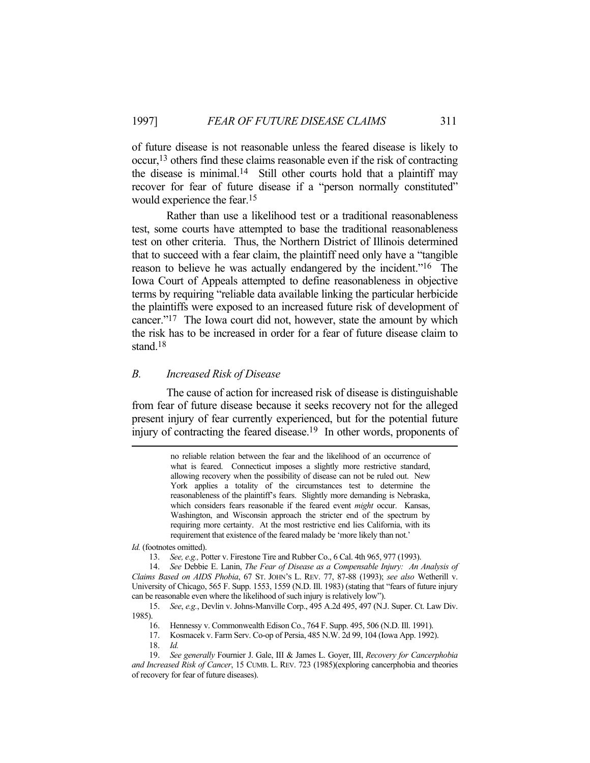of future disease is not reasonable unless the feared disease is likely to occur,13 others find these claims reasonable even if the risk of contracting the disease is minimal.<sup>14</sup> Still other courts hold that a plaintiff may recover for fear of future disease if a "person normally constituted" would experience the fear.15

 Rather than use a likelihood test or a traditional reasonableness test, some courts have attempted to base the traditional reasonableness test on other criteria. Thus, the Northern District of Illinois determined that to succeed with a fear claim, the plaintiff need only have a "tangible reason to believe he was actually endangered by the incident."16 The Iowa Court of Appeals attempted to define reasonableness in objective terms by requiring "reliable data available linking the particular herbicide the plaintiffs were exposed to an increased future risk of development of cancer."17 The Iowa court did not, however, state the amount by which the risk has to be increased in order for a fear of future disease claim to stand.<sup>18</sup>

#### *B. Increased Risk of Disease*

 The cause of action for increased risk of disease is distinguishable from fear of future disease because it seeks recovery not for the alleged present injury of fear currently experienced, but for the potential future injury of contracting the feared disease.19 In other words, proponents of

> no reliable relation between the fear and the likelihood of an occurrence of what is feared. Connecticut imposes a slightly more restrictive standard, allowing recovery when the possibility of disease can not be ruled out. New York applies a totality of the circumstances test to determine the reasonableness of the plaintiff's fears. Slightly more demanding is Nebraska, which considers fears reasonable if the feared event *might* occur. Kansas, Washington, and Wisconsin approach the stricter end of the spectrum by requiring more certainty. At the most restrictive end lies California, with its requirement that existence of the feared malady be 'more likely than not.'

*Id.* (footnotes omitted).

 14. *See* Debbie E. Lanin, *The Fear of Disease as a Compensable Injury: An Analysis of Claims Based on AIDS Phobia*, 67 ST. JOHN'S L. REV. 77, 87-88 (1993); *see also* Wetherill v. University of Chicago, 565 F. Supp. 1553, 1559 (N.D. Ill. 1983) (stating that "fears of future injury can be reasonable even where the likelihood of such injury is relatively low").

 15. *See*, *e.g.*, Devlin v. Johns-Manville Corp., 495 A.2d 495, 497 (N.J. Super. Ct. Law Div. 1985).

- 16. Hennessy v. Commonwealth Edison Co., 764 F. Supp. 495, 506 (N.D. Ill. 1991).
- 17. Kosmacek v. Farm Serv. Co-op of Persia, 485 N.W. 2d 99, 104 (Iowa App. 1992).
- 18. *Id.*

 <sup>13.</sup> *See, e.g.,* Potter v. Firestone Tire and Rubber Co., 6 Cal. 4th 965, 977 (1993).

 <sup>19.</sup> *See generally* Fournier J. Gale, III & James L. Goyer, III, *Recovery for Cancerphobia and Increased Risk of Cancer*, 15 CUMB. L. REV. 723 (1985)(exploring cancerphobia and theories of recovery for fear of future diseases).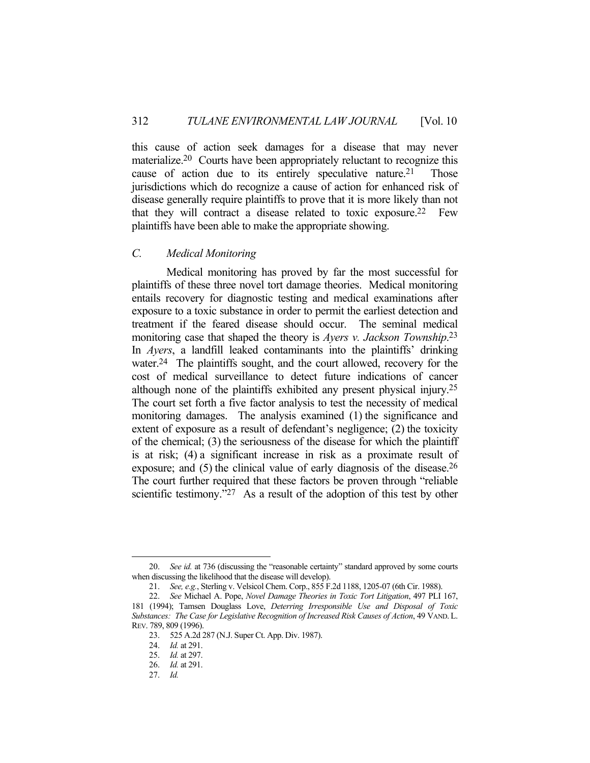this cause of action seek damages for a disease that may never materialize.20 Courts have been appropriately reluctant to recognize this cause of action due to its entirely speculative nature.<sup>21</sup> Those jurisdictions which do recognize a cause of action for enhanced risk of disease generally require plaintiffs to prove that it is more likely than not that they will contract a disease related to toxic exposure.<sup>22</sup> Few plaintiffs have been able to make the appropriate showing.

#### *C. Medical Monitoring*

 Medical monitoring has proved by far the most successful for plaintiffs of these three novel tort damage theories. Medical monitoring entails recovery for diagnostic testing and medical examinations after exposure to a toxic substance in order to permit the earliest detection and treatment if the feared disease should occur. The seminal medical monitoring case that shaped the theory is *Ayers v. Jackson Township*. 23 In *Ayers*, a landfill leaked contaminants into the plaintiffs' drinking water.<sup>24</sup> The plaintiffs sought, and the court allowed, recovery for the cost of medical surveillance to detect future indications of cancer although none of the plaintiffs exhibited any present physical injury.25 The court set forth a five factor analysis to test the necessity of medical monitoring damages. The analysis examined (1) the significance and extent of exposure as a result of defendant's negligence; (2) the toxicity of the chemical; (3) the seriousness of the disease for which the plaintiff is at risk; (4) a significant increase in risk as a proximate result of exposure; and (5) the clinical value of early diagnosis of the disease.<sup>26</sup> The court further required that these factors be proven through "reliable scientific testimony."<sup>27</sup> As a result of the adoption of this test by other

 <sup>20.</sup> *See id.* at 736 (discussing the "reasonable certainty" standard approved by some courts when discussing the likelihood that the disease will develop).

 <sup>21.</sup> *See, e.g.*, Sterling v. Velsicol Chem. Corp., 855 F.2d 1188, 1205-07 (6th Cir. 1988).

 <sup>22.</sup> *See* Michael A. Pope, *Novel Damage Theories in Toxic Tort Litigation*, 497 PLI 167,

<sup>181 (1994);</sup> Tamsen Douglass Love, *Deterring Irresponsible Use and Disposal of Toxic Substances: The Case for Legislative Recognition of Increased Risk Causes of Action*, 49 VAND. L. REV. 789, 809 (1996).

 <sup>23. 525</sup> A.2d 287 (N.J. Super Ct. App. Div. 1987).

 <sup>24.</sup> *Id.* at 291.

 <sup>25.</sup> *Id.* at 297.

 <sup>26.</sup> *Id.* at 291.

 <sup>27.</sup> *Id.*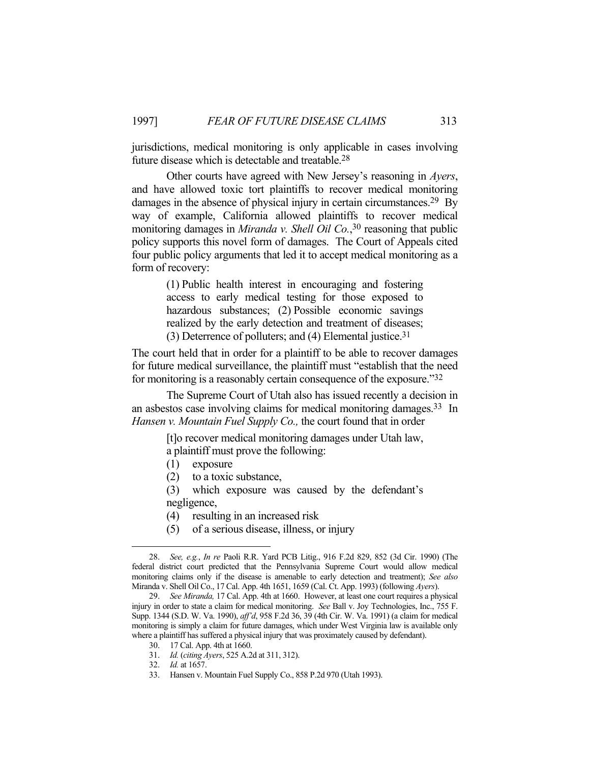jurisdictions, medical monitoring is only applicable in cases involving future disease which is detectable and treatable.28

 Other courts have agreed with New Jersey's reasoning in *Ayers*, and have allowed toxic tort plaintiffs to recover medical monitoring damages in the absence of physical injury in certain circumstances.<sup>29</sup> By way of example, California allowed plaintiffs to recover medical monitoring damages in *Miranda v. Shell Oil Co.*, 30 reasoning that public policy supports this novel form of damages. The Court of Appeals cited four public policy arguments that led it to accept medical monitoring as a form of recovery:

> (1) Public health interest in encouraging and fostering access to early medical testing for those exposed to hazardous substances; (2) Possible economic savings realized by the early detection and treatment of diseases; (3) Deterrence of polluters; and (4) Elemental justice.31

The court held that in order for a plaintiff to be able to recover damages for future medical surveillance, the plaintiff must "establish that the need for monitoring is a reasonably certain consequence of the exposure."32

 The Supreme Court of Utah also has issued recently a decision in an asbestos case involving claims for medical monitoring damages.33 In *Hansen v. Mountain Fuel Supply Co.,* the court found that in order

> [t]o recover medical monitoring damages under Utah law, a plaintiff must prove the following:

- (1) exposure
- (2) to a toxic substance,

(3) which exposure was caused by the defendant's negligence,

- (4) resulting in an increased risk
- (5) of a serious disease, illness, or injury

30. 17 Cal. App. 4th at 1660.

 <sup>28.</sup> *See, e.g.*, *In re* Paoli R.R. Yard PCB Litig., 916 F.2d 829, 852 (3d Cir. 1990) (The federal district court predicted that the Pennsylvania Supreme Court would allow medical monitoring claims only if the disease is amenable to early detection and treatment); *See also* Miranda v. Shell Oil Co., 17 Cal. App. 4th 1651, 1659 (Cal. Ct. App. 1993) (following *Ayers*).

 <sup>29.</sup> *See Miranda,* 17 Cal. App. 4th at 1660. However, at least one court requires a physical injury in order to state a claim for medical monitoring. *See* Ball v. Joy Technologies, Inc., 755 F. Supp. 1344 (S.D. W. Va. 1990), *aff'd*, 958 F.2d 36, 39 (4th Cir. W. Va. 1991) (a claim for medical monitoring is simply a claim for future damages, which under West Virginia law is available only where a plaintiff has suffered a physical injury that was proximately caused by defendant).

 <sup>31.</sup> *Id.* (*citing Ayers*, 525 A.2d at 311, 312).

 <sup>32.</sup> *Id.* at 1657.

 <sup>33.</sup> Hansen v. Mountain Fuel Supply Co., 858 P.2d 970 (Utah 1993).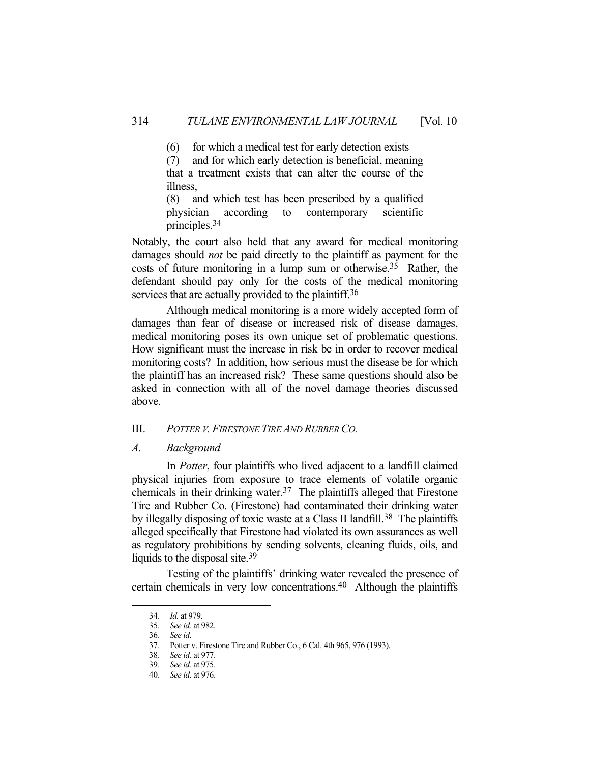(6) for which a medical test for early detection exists

(7) and for which early detection is beneficial, meaning that a treatment exists that can alter the course of the illness,

(8) and which test has been prescribed by a qualified physician according to contemporary scientific principles.34

Notably, the court also held that any award for medical monitoring damages should *not* be paid directly to the plaintiff as payment for the costs of future monitoring in a lump sum or otherwise.35 Rather, the defendant should pay only for the costs of the medical monitoring services that are actually provided to the plaintiff.<sup>36</sup>

 Although medical monitoring is a more widely accepted form of damages than fear of disease or increased risk of disease damages, medical monitoring poses its own unique set of problematic questions. How significant must the increase in risk be in order to recover medical monitoring costs? In addition, how serious must the disease be for which the plaintiff has an increased risk? These same questions should also be asked in connection with all of the novel damage theories discussed above.

# III. *POTTER V. FIRESTONE TIRE AND RUBBER CO.*

#### *A. Background*

 In *Potter*, four plaintiffs who lived adjacent to a landfill claimed physical injuries from exposure to trace elements of volatile organic chemicals in their drinking water.37 The plaintiffs alleged that Firestone Tire and Rubber Co. (Firestone) had contaminated their drinking water by illegally disposing of toxic waste at a Class II landfill.<sup>38</sup> The plaintiffs alleged specifically that Firestone had violated its own assurances as well as regulatory prohibitions by sending solvents, cleaning fluids, oils, and liquids to the disposal site.<sup>39</sup>

 Testing of the plaintiffs' drinking water revealed the presence of certain chemicals in very low concentrations.40 Although the plaintiffs

 <sup>34.</sup> *Id.* at 979.

 <sup>35.</sup> *See id.* at 982.

 <sup>36.</sup> *See id*.

 <sup>37.</sup> Potter v. Firestone Tire and Rubber Co., 6 Cal. 4th 965, 976 (1993).

 <sup>38.</sup> *See id.* at 977.

 <sup>39.</sup> *See id.* at 975.

 <sup>40.</sup> *See id.* at 976.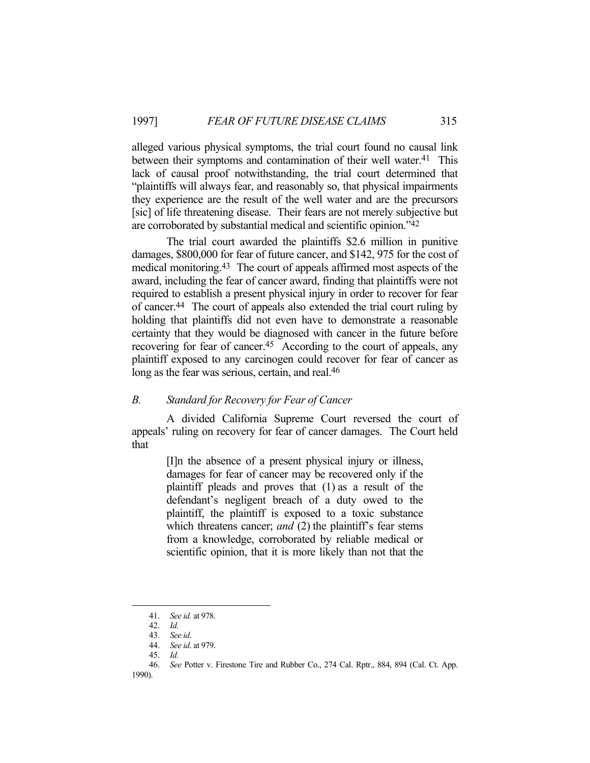alleged various physical symptoms, the trial court found no causal link between their symptoms and contamination of their well water.<sup>41</sup> This lack of causal proof notwithstanding, the trial court determined that "plaintiffs will always fear, and reasonably so, that physical impairments they experience are the result of the well water and are the precursors [sic] of life threatening disease. Their fears are not merely subjective but are corroborated by substantial medical and scientific opinion."42

 The trial court awarded the plaintiffs \$2.6 million in punitive damages, \$800,000 for fear of future cancer, and \$142, 975 for the cost of medical monitoring.43 The court of appeals affirmed most aspects of the award, including the fear of cancer award, finding that plaintiffs were not required to establish a present physical injury in order to recover for fear of cancer.44 The court of appeals also extended the trial court ruling by holding that plaintiffs did not even have to demonstrate a reasonable certainty that they would be diagnosed with cancer in the future before recovering for fear of cancer.<sup>45</sup> According to the court of appeals, any plaintiff exposed to any carcinogen could recover for fear of cancer as long as the fear was serious, certain, and real.<sup>46</sup>

### *B. Standard for Recovery for Fear of Cancer*

 A divided California Supreme Court reversed the court of appeals' ruling on recovery for fear of cancer damages. The Court held that

> [I]n the absence of a present physical injury or illness, damages for fear of cancer may be recovered only if the plaintiff pleads and proves that (1) as a result of the defendant's negligent breach of a duty owed to the plaintiff, the plaintiff is exposed to a toxic substance which threatens cancer; *and* (2) the plaintiff's fear stems from a knowledge, corroborated by reliable medical or scientific opinion, that it is more likely than not that the

 <sup>41.</sup> *See id.* at 978.

 <sup>42.</sup> *Id.*

 <sup>43.</sup> *See id*.

 <sup>44.</sup> *See id*. at 979.

 <sup>45.</sup> *Id.*

 <sup>46.</sup> *See* Potter v. Firestone Tire and Rubber Co., 274 Cal. Rptr., 884, 894 (Cal. Ct. App. 1990).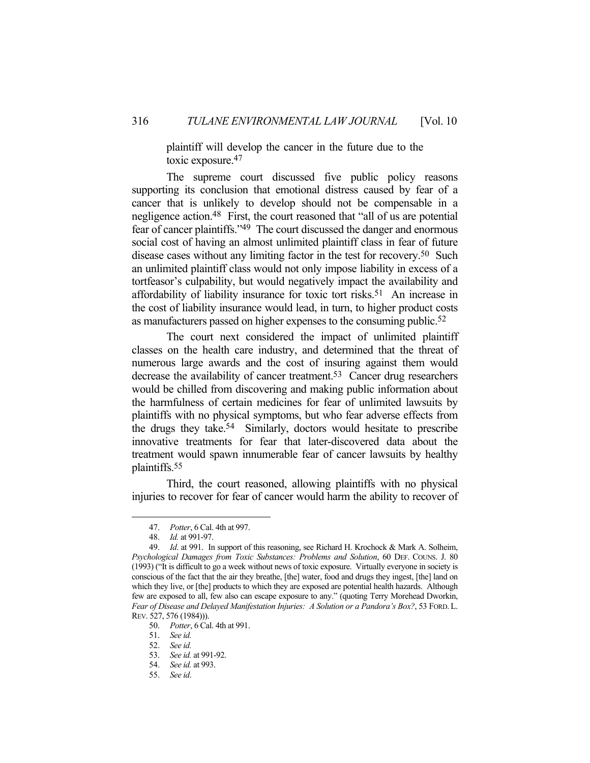plaintiff will develop the cancer in the future due to the toxic exposure.47

 The supreme court discussed five public policy reasons supporting its conclusion that emotional distress caused by fear of a cancer that is unlikely to develop should not be compensable in a negligence action.48 First, the court reasoned that "all of us are potential fear of cancer plaintiffs."49 The court discussed the danger and enormous social cost of having an almost unlimited plaintiff class in fear of future disease cases without any limiting factor in the test for recovery.50 Such an unlimited plaintiff class would not only impose liability in excess of a tortfeasor's culpability, but would negatively impact the availability and affordability of liability insurance for toxic tort risks.<sup>51</sup> An increase in the cost of liability insurance would lead, in turn, to higher product costs as manufacturers passed on higher expenses to the consuming public.52

 The court next considered the impact of unlimited plaintiff classes on the health care industry, and determined that the threat of numerous large awards and the cost of insuring against them would decrease the availability of cancer treatment.<sup>53</sup> Cancer drug researchers would be chilled from discovering and making public information about the harmfulness of certain medicines for fear of unlimited lawsuits by plaintiffs with no physical symptoms, but who fear adverse effects from the drugs they take.54 Similarly, doctors would hesitate to prescribe innovative treatments for fear that later-discovered data about the treatment would spawn innumerable fear of cancer lawsuits by healthy plaintiffs.55

 Third, the court reasoned, allowing plaintiffs with no physical injuries to recover for fear of cancer would harm the ability to recover of

 <sup>47.</sup> *Potter*, 6 Cal. 4th at 997.

 <sup>48.</sup> *Id.* at 991-97.

 <sup>49.</sup> *Id*. at 991. In support of this reasoning, see Richard H. Krochock & Mark A. Solheim, *Psychological Damages from Toxic Substances: Problems and Solution*, 60 DEF. COUNS. J. 80 (1993) ("It is difficult to go a week without news of toxic exposure. Virtually everyone in society is conscious of the fact that the air they breathe, [the] water, food and drugs they ingest, [the] land on which they live, or [the] products to which they are exposed are potential health hazards. Although few are exposed to all, few also can escape exposure to any." (quoting Terry Morehead Dworkin, *Fear of Disease and Delayed Manifestation Injuries: A Solution or a Pandora's Box?*, 53 FORD. L. REV. 527, 576 (1984))).

 <sup>50.</sup> *Potter*, 6 Cal. 4th at 991.

 <sup>51.</sup> *See id.*

 <sup>52.</sup> *See id.*

 <sup>53.</sup> *See id.* at 991-92.

 <sup>54.</sup> *See id.* at 993.

 <sup>55.</sup> *See id*.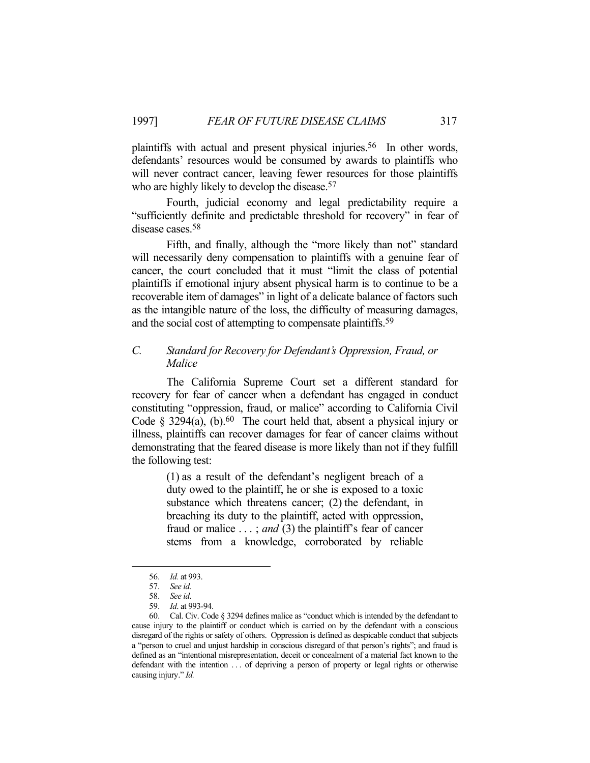plaintiffs with actual and present physical injuries.56 In other words, defendants' resources would be consumed by awards to plaintiffs who will never contract cancer, leaving fewer resources for those plaintiffs who are highly likely to develop the disease.<sup>57</sup>

 Fourth, judicial economy and legal predictability require a "sufficiently definite and predictable threshold for recovery" in fear of disease cases.58

Fifth, and finally, although the "more likely than not" standard will necessarily deny compensation to plaintiffs with a genuine fear of cancer, the court concluded that it must "limit the class of potential plaintiffs if emotional injury absent physical harm is to continue to be a recoverable item of damages" in light of a delicate balance of factors such as the intangible nature of the loss, the difficulty of measuring damages, and the social cost of attempting to compensate plaintiffs.59

# *C. Standard for Recovery for Defendant's Oppression, Fraud, or Malice*

 The California Supreme Court set a different standard for recovery for fear of cancer when a defendant has engaged in conduct constituting "oppression, fraud, or malice" according to California Civil Code  $\S$  3294(a), (b).<sup>60</sup> The court held that, absent a physical injury or illness, plaintiffs can recover damages for fear of cancer claims without demonstrating that the feared disease is more likely than not if they fulfill the following test:

> (1) as a result of the defendant's negligent breach of a duty owed to the plaintiff, he or she is exposed to a toxic substance which threatens cancer; (2) the defendant, in breaching its duty to the plaintiff, acted with oppression, fraud or malice . . . ; *and* (3) the plaintiff's fear of cancer stems from a knowledge, corroborated by reliable

 <sup>56.</sup> *Id.* at 993.

 <sup>57.</sup> *See id.*

 <sup>58.</sup> *See id*.

 <sup>59.</sup> *Id*. at 993-94.

 <sup>60.</sup> Cal. Civ. Code § 3294 defines malice as "conduct which is intended by the defendant to cause injury to the plaintiff or conduct which is carried on by the defendant with a conscious disregard of the rights or safety of others. Oppression is defined as despicable conduct that subjects a "person to cruel and unjust hardship in conscious disregard of that person's rights"; and fraud is defined as an "intentional misrepresentation, deceit or concealment of a material fact known to the defendant with the intention ... of depriving a person of property or legal rights or otherwise causing injury." *Id.*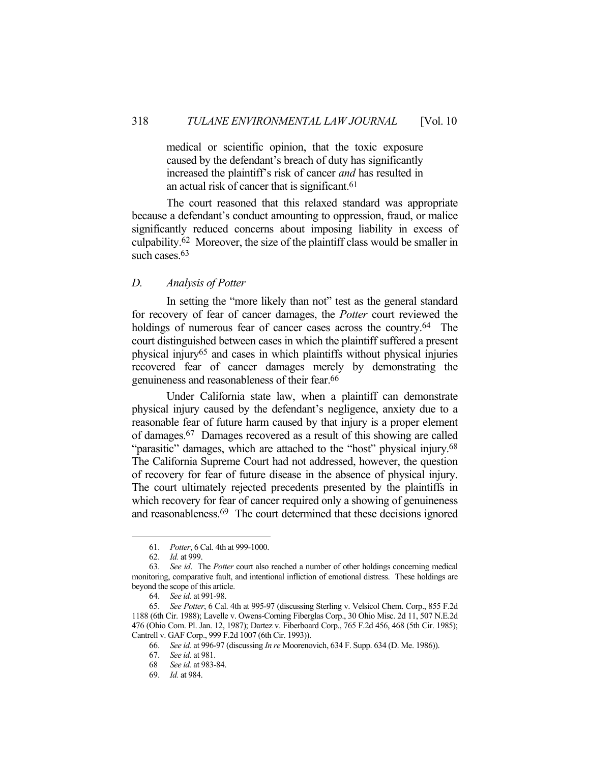medical or scientific opinion, that the toxic exposure caused by the defendant's breach of duty has significantly increased the plaintiff's risk of cancer *and* has resulted in an actual risk of cancer that is significant.61

 The court reasoned that this relaxed standard was appropriate because a defendant's conduct amounting to oppression, fraud, or malice significantly reduced concerns about imposing liability in excess of culpability.62 Moreover, the size of the plaintiff class would be smaller in such cases.<sup>63</sup>

# *D. Analysis of Potter*

 In setting the "more likely than not" test as the general standard for recovery of fear of cancer damages, the *Potter* court reviewed the holdings of numerous fear of cancer cases across the country.<sup>64</sup> The court distinguished between cases in which the plaintiff suffered a present physical injury65 and cases in which plaintiffs without physical injuries recovered fear of cancer damages merely by demonstrating the genuineness and reasonableness of their fear.66

 Under California state law, when a plaintiff can demonstrate physical injury caused by the defendant's negligence, anxiety due to a reasonable fear of future harm caused by that injury is a proper element of damages.67 Damages recovered as a result of this showing are called "parasitic" damages, which are attached to the "host" physical injury.<sup>68</sup> The California Supreme Court had not addressed, however, the question of recovery for fear of future disease in the absence of physical injury. The court ultimately rejected precedents presented by the plaintiffs in which recovery for fear of cancer required only a showing of genuineness and reasonableness.69 The court determined that these decisions ignored

 <sup>61.</sup> *Potter*, 6 Cal. 4th at 999-1000.

 <sup>62.</sup> *Id.* at 999.

 <sup>63.</sup> *See id*. The *Potter* court also reached a number of other holdings concerning medical monitoring, comparative fault, and intentional infliction of emotional distress. These holdings are beyond the scope of this article.

 <sup>64.</sup> *See id.* at 991-98.

 <sup>65.</sup> *See Potter*, 6 Cal. 4th at 995-97 (discussing Sterling v. Velsicol Chem. Corp., 855 F.2d 1188 (6th Cir. 1988); Lavelle v. Owens-Corning Fiberglas Corp., 30 Ohio Misc. 2d 11, 507 N.E.2d 476 (Ohio Com. Pl. Jan. 12, 1987); Dartez v. Fiberboard Corp., 765 F.2d 456, 468 (5th Cir. 1985); Cantrell v. GAF Corp., 999 F.2d 1007 (6th Cir. 1993)).

 <sup>66.</sup> *See id.* at 996-97 (discussing *In re* Moorenovich, 634 F. Supp. 634 (D. Me. 1986)).

 <sup>67.</sup> *See id.* at 981.

 <sup>68</sup> *See id.* at 983-84.

 <sup>69.</sup> *Id.* at 984.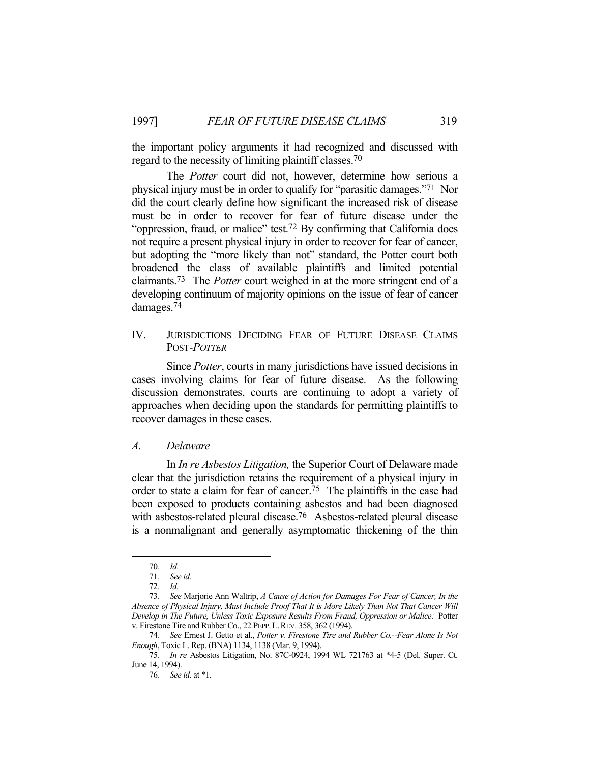the important policy arguments it had recognized and discussed with regard to the necessity of limiting plaintiff classes.70

 The *Potter* court did not, however, determine how serious a physical injury must be in order to qualify for "parasitic damages."71 Nor did the court clearly define how significant the increased risk of disease must be in order to recover for fear of future disease under the "oppression, fraud, or malice" test.<sup>72</sup> By confirming that California does not require a present physical injury in order to recover for fear of cancer, but adopting the "more likely than not" standard, the Potter court both broadened the class of available plaintiffs and limited potential claimants.73 The *Potter* court weighed in at the more stringent end of a developing continuum of majority opinions on the issue of fear of cancer damages.74

IV. JURISDICTIONS DECIDING FEAR OF FUTURE DISEASE CLAIMS POST-*POTTER*

 Since *Potter*, courts in many jurisdictions have issued decisions in cases involving claims for fear of future disease. As the following discussion demonstrates, courts are continuing to adopt a variety of approaches when deciding upon the standards for permitting plaintiffs to recover damages in these cases.

### *A. Delaware*

 In *In re Asbestos Litigation,* the Superior Court of Delaware made clear that the jurisdiction retains the requirement of a physical injury in order to state a claim for fear of cancer.75 The plaintiffs in the case had been exposed to products containing asbestos and had been diagnosed with asbestos-related pleural disease.<sup>76</sup> Asbestos-related pleural disease is a nonmalignant and generally asymptomatic thickening of the thin

 <sup>70.</sup> *Id*.

 <sup>71.</sup> *See id.*

 <sup>72.</sup> *Id.*

 <sup>73.</sup> *See* Marjorie Ann Waltrip, *A Cause of Action for Damages For Fear of Cancer, In the Absence of Physical Injury, Must Include Proof That It is More Likely Than Not That Cancer Will Develop in The Future, Unless Toxic Exposure Results From Fraud, Oppression or Malice:* Potter v. Firestone Tire and Rubber Co., 22 PEPP.L.REV. 358, 362 (1994).

 <sup>74.</sup> *See* Ernest J. Getto et al., *Potter v. Firestone Tire and Rubber Co.--Fear Alone Is Not Enough*, Toxic L. Rep. (BNA) 1134, 1138 (Mar. 9, 1994).

 <sup>75.</sup> *In re* Asbestos Litigation, No. 87C-0924, 1994 WL 721763 at \*4-5 (Del. Super. Ct. June 14, 1994).

 <sup>76.</sup> *See id.* at \*1.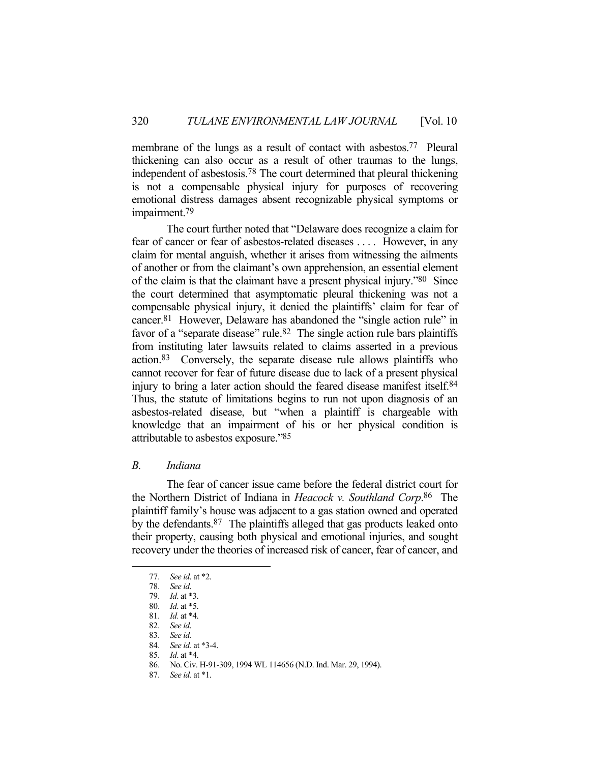membrane of the lungs as a result of contact with asbestos.<sup>77</sup> Pleural thickening can also occur as a result of other traumas to the lungs, independent of asbestosis.78 The court determined that pleural thickening is not a compensable physical injury for purposes of recovering emotional distress damages absent recognizable physical symptoms or impairment.79

 The court further noted that "Delaware does recognize a claim for fear of cancer or fear of asbestos-related diseases . . . . However, in any claim for mental anguish, whether it arises from witnessing the ailments of another or from the claimant's own apprehension, an essential element of the claim is that the claimant have a present physical injury."80 Since the court determined that asymptomatic pleural thickening was not a compensable physical injury, it denied the plaintiffs' claim for fear of cancer.81 However, Delaware has abandoned the "single action rule" in favor of a "separate disease" rule.<sup>82</sup> The single action rule bars plaintiffs from instituting later lawsuits related to claims asserted in a previous action.83 Conversely, the separate disease rule allows plaintiffs who cannot recover for fear of future disease due to lack of a present physical injury to bring a later action should the feared disease manifest itself.<sup>84</sup> Thus, the statute of limitations begins to run not upon diagnosis of an asbestos-related disease, but "when a plaintiff is chargeable with knowledge that an impairment of his or her physical condition is attributable to asbestos exposure."85

# *B. Indiana*

 The fear of cancer issue came before the federal district court for the Northern District of Indiana in *Heacock v. Southland Corp*. 86 The plaintiff family's house was adjacent to a gas station owned and operated by the defendants.87 The plaintiffs alleged that gas products leaked onto their property, causing both physical and emotional injuries, and sought recovery under the theories of increased risk of cancer, fear of cancer, and

 <sup>77.</sup> *See id*. at \*2.

 <sup>78.</sup> *See id*.

 <sup>79.</sup> *Id*. at \*3.

 <sup>80.</sup> *Id*. at \*5.

 <sup>81.</sup> *Id.* at \*4.

 <sup>82.</sup> *See id*.

 <sup>83.</sup> *See id.*

 <sup>84.</sup> *See id.* at \*3-4.

 <sup>85.</sup> *Id*. at \*4.

 <sup>86.</sup> No. Civ. H-91-309, 1994 WL 114656 (N.D. Ind. Mar. 29, 1994).

 <sup>87.</sup> *See id.* at \*1.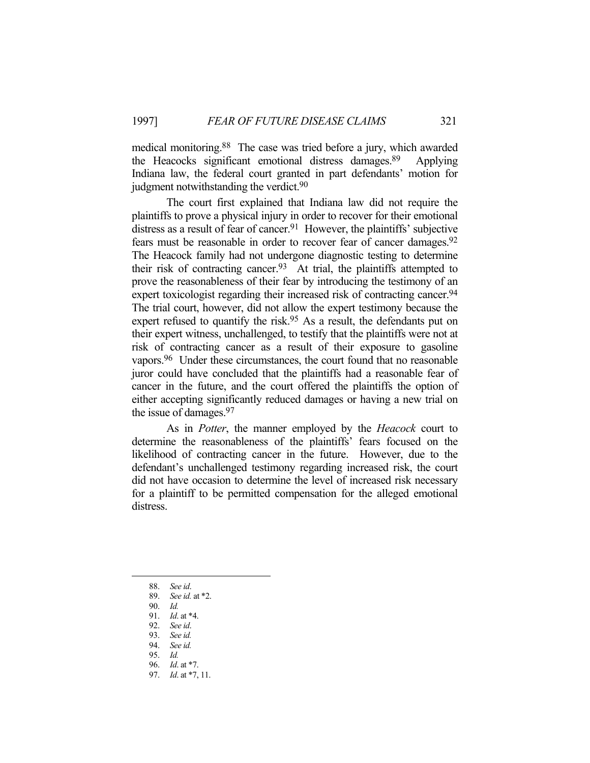medical monitoring.88 The case was tried before a jury, which awarded the Heacocks significant emotional distress damages.89 Applying Indiana law, the federal court granted in part defendants' motion for judgment notwithstanding the verdict.<sup>90</sup>

 The court first explained that Indiana law did not require the plaintiffs to prove a physical injury in order to recover for their emotional distress as a result of fear of cancer.<sup>91</sup> However, the plaintiffs' subjective fears must be reasonable in order to recover fear of cancer damages.92 The Heacock family had not undergone diagnostic testing to determine their risk of contracting cancer.<sup>93</sup> At trial, the plaintiffs attempted to prove the reasonableness of their fear by introducing the testimony of an expert toxicologist regarding their increased risk of contracting cancer.<sup>94</sup> The trial court, however, did not allow the expert testimony because the expert refused to quantify the risk.<sup>95</sup> As a result, the defendants put on their expert witness, unchallenged, to testify that the plaintiffs were not at risk of contracting cancer as a result of their exposure to gasoline vapors.96 Under these circumstances, the court found that no reasonable juror could have concluded that the plaintiffs had a reasonable fear of cancer in the future, and the court offered the plaintiffs the option of either accepting significantly reduced damages or having a new trial on the issue of damages.97

 As in *Potter*, the manner employed by the *Heacock* court to determine the reasonableness of the plaintiffs' fears focused on the likelihood of contracting cancer in the future. However, due to the defendant's unchallenged testimony regarding increased risk, the court did not have occasion to determine the level of increased risk necessary for a plaintiff to be permitted compensation for the alleged emotional distress.

 <sup>88.</sup> *See id*.

 <sup>89.</sup> *See id.* at \*2.

 <sup>90.</sup> *Id.*

 <sup>91.</sup> *Id*. at \*4.

 <sup>92.</sup> *See id*.

 <sup>93.</sup> *See id.*

 <sup>94.</sup> *See id.*

 <sup>95.</sup> *Id.*

 <sup>96.</sup> *Id*. at \*7.

 <sup>97.</sup> *Id*. at \*7, 11.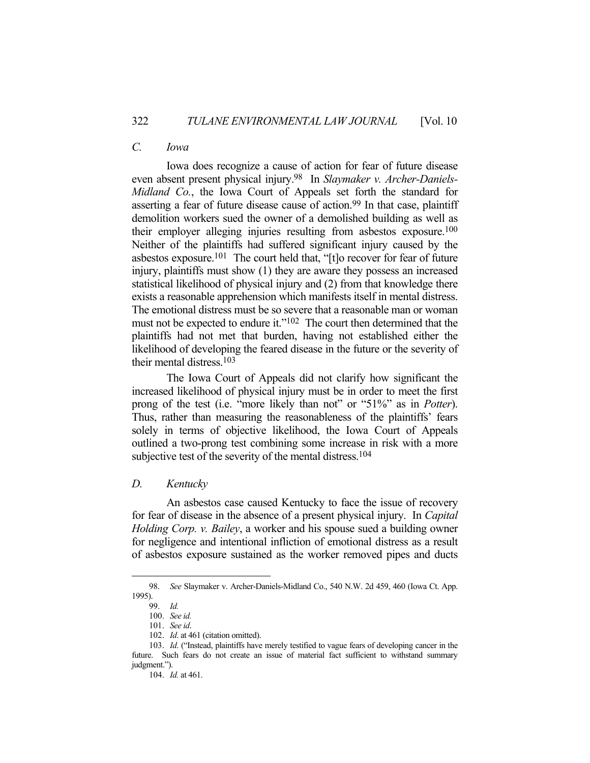# *C. Iowa*

 Iowa does recognize a cause of action for fear of future disease even absent present physical injury.98 In *Slaymaker v. Archer-Daniels-Midland Co.*, the Iowa Court of Appeals set forth the standard for asserting a fear of future disease cause of action.99 In that case, plaintiff demolition workers sued the owner of a demolished building as well as their employer alleging injuries resulting from asbestos exposure.100 Neither of the plaintiffs had suffered significant injury caused by the asbestos exposure.101 The court held that, "[t]o recover for fear of future injury, plaintiffs must show (1) they are aware they possess an increased statistical likelihood of physical injury and (2) from that knowledge there exists a reasonable apprehension which manifests itself in mental distress. The emotional distress must be so severe that a reasonable man or woman must not be expected to endure it."<sup>102</sup> The court then determined that the plaintiffs had not met that burden, having not established either the likelihood of developing the feared disease in the future or the severity of their mental distress.103

 The Iowa Court of Appeals did not clarify how significant the increased likelihood of physical injury must be in order to meet the first prong of the test (i.e. "more likely than not" or "51%" as in *Potter*). Thus, rather than measuring the reasonableness of the plaintiffs' fears solely in terms of objective likelihood, the Iowa Court of Appeals outlined a two-prong test combining some increase in risk with a more subjective test of the severity of the mental distress.<sup>104</sup>

### *D. Kentucky*

 An asbestos case caused Kentucky to face the issue of recovery for fear of disease in the absence of a present physical injury. In *Capital Holding Corp. v. Bailey*, a worker and his spouse sued a building owner for negligence and intentional infliction of emotional distress as a result of asbestos exposure sustained as the worker removed pipes and ducts

 <sup>98.</sup> *See* Slaymaker v. Archer-Daniels-Midland Co., 540 N.W. 2d 459, 460 (Iowa Ct. App. 1995).

 <sup>99.</sup> *Id.*

 <sup>100.</sup> *See id.*

 <sup>101.</sup> *See id*.

 <sup>102.</sup> *Id*. at 461 (citation omitted).

 <sup>103.</sup> *Id*. ("Instead, plaintiffs have merely testified to vague fears of developing cancer in the future. Such fears do not create an issue of material fact sufficient to withstand summary judgment.").

 <sup>104.</sup> *Id.* at 461.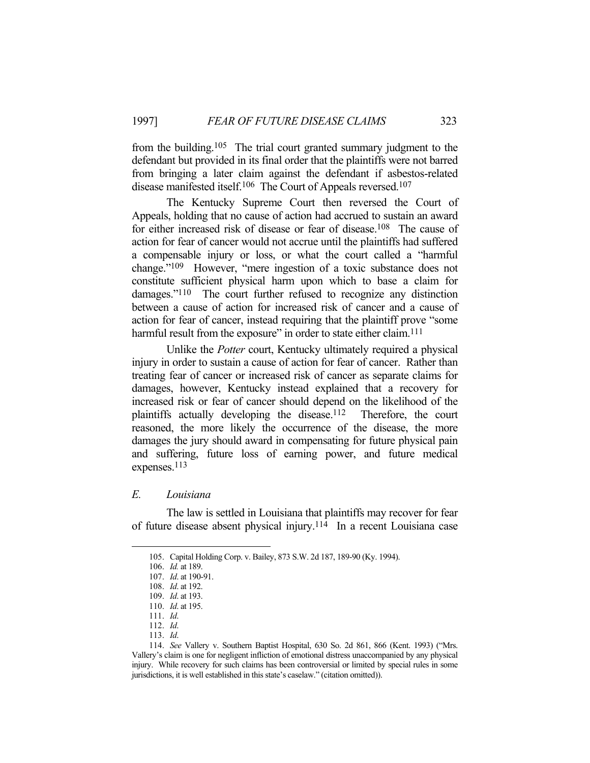from the building.105 The trial court granted summary judgment to the defendant but provided in its final order that the plaintiffs were not barred from bringing a later claim against the defendant if asbestos-related disease manifested itself.106 The Court of Appeals reversed.107

 The Kentucky Supreme Court then reversed the Court of Appeals, holding that no cause of action had accrued to sustain an award for either increased risk of disease or fear of disease.108 The cause of action for fear of cancer would not accrue until the plaintiffs had suffered a compensable injury or loss, or what the court called a "harmful change."109 However, "mere ingestion of a toxic substance does not constitute sufficient physical harm upon which to base a claim for damages."110 The court further refused to recognize any distinction between a cause of action for increased risk of cancer and a cause of action for fear of cancer, instead requiring that the plaintiff prove "some harmful result from the exposure" in order to state either claim.<sup>111</sup>

 Unlike the *Potter* court, Kentucky ultimately required a physical injury in order to sustain a cause of action for fear of cancer. Rather than treating fear of cancer or increased risk of cancer as separate claims for damages, however, Kentucky instead explained that a recovery for increased risk or fear of cancer should depend on the likelihood of the plaintiffs actually developing the disease.112 Therefore, the court reasoned, the more likely the occurrence of the disease, the more damages the jury should award in compensating for future physical pain and suffering, future loss of earning power, and future medical expenses.113

# *E. Louisiana*

 The law is settled in Louisiana that plaintiffs may recover for fear of future disease absent physical injury.114 In a recent Louisiana case

<u>.</u>

113. *Id*.

 <sup>105.</sup> Capital Holding Corp. v. Bailey, 873 S.W. 2d 187, 189-90 (Ky. 1994).

 <sup>106.</sup> *Id.* at 189.

 <sup>107.</sup> *Id*. at 190-91.

 <sup>108.</sup> *Id*. at 192.

 <sup>109.</sup> *Id*. at 193.

 <sup>110.</sup> *Id*. at 195.

 <sup>111.</sup> *Id*.

 <sup>112.</sup> *Id*.

 <sup>114.</sup> *See* Vallery v. Southern Baptist Hospital, 630 So. 2d 861, 866 (Kent. 1993) ("Mrs. Vallery's claim is one for negligent infliction of emotional distress unaccompanied by any physical injury. While recovery for such claims has been controversial or limited by special rules in some jurisdictions, it is well established in this state's caselaw." (citation omitted)).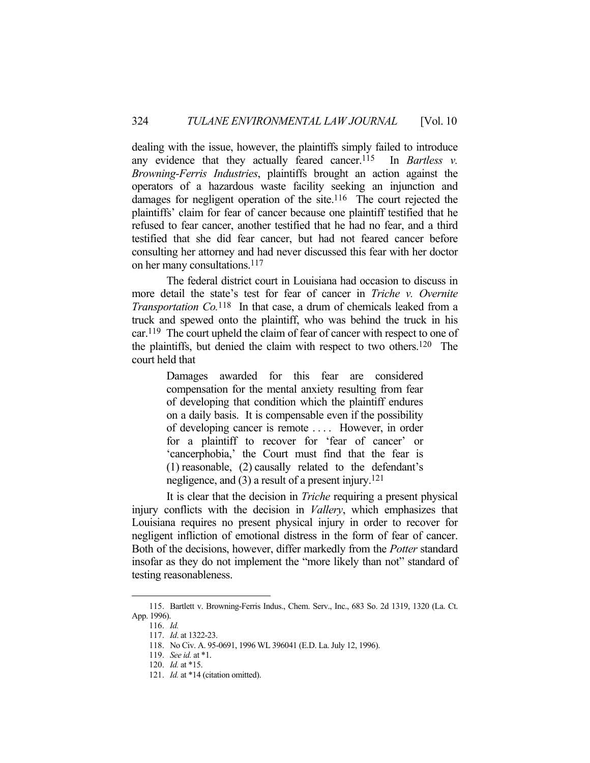dealing with the issue, however, the plaintiffs simply failed to introduce any evidence that they actually feared cancer.<sup>115</sup> In *Bartless v. Browning-Ferris Industries*, plaintiffs brought an action against the operators of a hazardous waste facility seeking an injunction and damages for negligent operation of the site.<sup>116</sup> The court rejected the plaintiffs' claim for fear of cancer because one plaintiff testified that he refused to fear cancer, another testified that he had no fear, and a third testified that she did fear cancer, but had not feared cancer before consulting her attorney and had never discussed this fear with her doctor on her many consultations.117

 The federal district court in Louisiana had occasion to discuss in more detail the state's test for fear of cancer in *Triche v. Overnite Transportation Co.*118 In that case, a drum of chemicals leaked from a truck and spewed onto the plaintiff, who was behind the truck in his car.119 The court upheld the claim of fear of cancer with respect to one of the plaintiffs, but denied the claim with respect to two others. 120 The court held that

> Damages awarded for this fear are considered compensation for the mental anxiety resulting from fear of developing that condition which the plaintiff endures on a daily basis. It is compensable even if the possibility of developing cancer is remote . . . . However, in order for a plaintiff to recover for 'fear of cancer' or 'cancerphobia,' the Court must find that the fear is (1) reasonable, (2) causally related to the defendant's negligence, and  $(3)$  a result of a present injury.<sup>121</sup>

 It is clear that the decision in *Triche* requiring a present physical injury conflicts with the decision in *Vallery*, which emphasizes that Louisiana requires no present physical injury in order to recover for negligent infliction of emotional distress in the form of fear of cancer. Both of the decisions, however, differ markedly from the *Potter* standard insofar as they do not implement the "more likely than not" standard of testing reasonableness.

 <sup>115.</sup> Bartlett v. Browning-Ferris Indus., Chem. Serv., Inc., 683 So. 2d 1319, 1320 (La. Ct. App. 1996).

 <sup>116.</sup> *Id.*

 <sup>117.</sup> *Id*. at 1322-23.

 <sup>118.</sup> No Civ. A. 95-0691, 1996 WL 396041 (E.D. La. July 12, 1996).

 <sup>119.</sup> *See id.* at \*1.

 <sup>120.</sup> *Id.* at \*15.

 <sup>121.</sup> *Id.* at \*14 (citation omitted).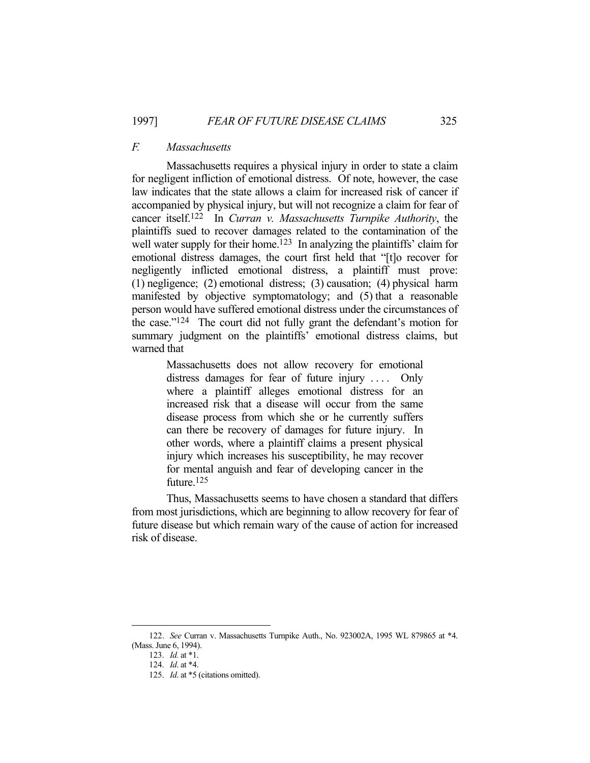# *F. Massachusetts*

 Massachusetts requires a physical injury in order to state a claim for negligent infliction of emotional distress. Of note, however, the case law indicates that the state allows a claim for increased risk of cancer if accompanied by physical injury, but will not recognize a claim for fear of cancer itself.122 In *Curran v. Massachusetts Turnpike Authority*, the plaintiffs sued to recover damages related to the contamination of the well water supply for their home.<sup>123</sup> In analyzing the plaintiffs' claim for emotional distress damages, the court first held that "[t]o recover for negligently inflicted emotional distress, a plaintiff must prove: (1) negligence; (2) emotional distress; (3) causation; (4) physical harm manifested by objective symptomatology; and (5) that a reasonable person would have suffered emotional distress under the circumstances of the case."124 The court did not fully grant the defendant's motion for summary judgment on the plaintiffs' emotional distress claims, but warned that

> Massachusetts does not allow recovery for emotional distress damages for fear of future injury .... Only where a plaintiff alleges emotional distress for an increased risk that a disease will occur from the same disease process from which she or he currently suffers can there be recovery of damages for future injury. In other words, where a plaintiff claims a present physical injury which increases his susceptibility, he may recover for mental anguish and fear of developing cancer in the future.125

 Thus, Massachusetts seems to have chosen a standard that differs from most jurisdictions, which are beginning to allow recovery for fear of future disease but which remain wary of the cause of action for increased risk of disease.

 <sup>122.</sup> *See* Curran v. Massachusetts Turnpike Auth., No. 923002A, 1995 WL 879865 at \*4. (Mass. June 6, 1994).

 <sup>123.</sup> *Id.* at \*1.

 <sup>124.</sup> *Id*. at \*4.

 <sup>125.</sup> *Id*. at \*5 (citations omitted).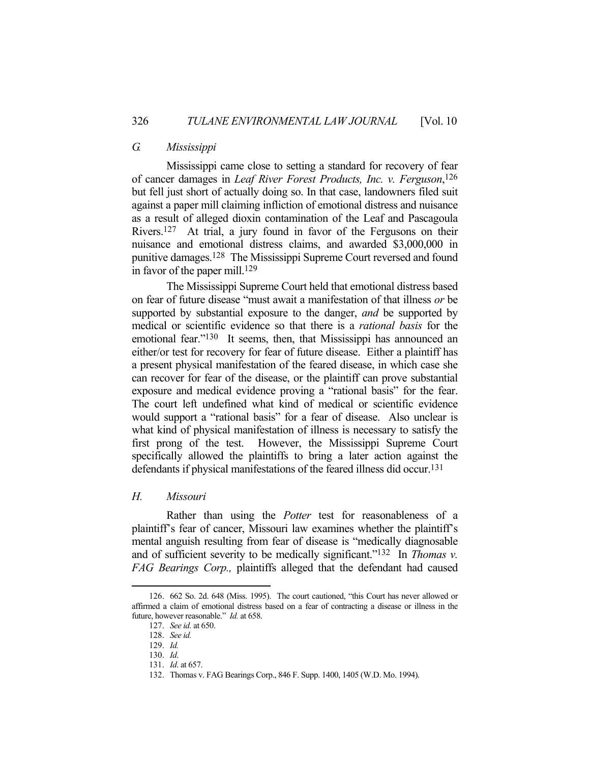# *G. Mississippi*

 Mississippi came close to setting a standard for recovery of fear of cancer damages in *Leaf River Forest Products, Inc. v. Ferguson*, 126 but fell just short of actually doing so. In that case, landowners filed suit against a paper mill claiming infliction of emotional distress and nuisance as a result of alleged dioxin contamination of the Leaf and Pascagoula Rivers.127 At trial, a jury found in favor of the Fergusons on their nuisance and emotional distress claims, and awarded \$3,000,000 in punitive damages.128 The Mississippi Supreme Court reversed and found in favor of the paper mill.129

 The Mississippi Supreme Court held that emotional distress based on fear of future disease "must await a manifestation of that illness *or* be supported by substantial exposure to the danger, *and* be supported by medical or scientific evidence so that there is a *rational basis* for the emotional fear."<sup>130</sup> It seems, then, that Mississippi has announced an either/or test for recovery for fear of future disease. Either a plaintiff has a present physical manifestation of the feared disease, in which case she can recover for fear of the disease, or the plaintiff can prove substantial exposure and medical evidence proving a "rational basis" for the fear. The court left undefined what kind of medical or scientific evidence would support a "rational basis" for a fear of disease. Also unclear is what kind of physical manifestation of illness is necessary to satisfy the first prong of the test. However, the Mississippi Supreme Court specifically allowed the plaintiffs to bring a later action against the defendants if physical manifestations of the feared illness did occur.<sup>131</sup>

#### *H. Missouri*

 Rather than using the *Potter* test for reasonableness of a plaintiff's fear of cancer, Missouri law examines whether the plaintiff's mental anguish resulting from fear of disease is "medically diagnosable and of sufficient severity to be medically significant."132 In *Thomas v. FAG Bearings Corp.,* plaintiffs alleged that the defendant had caused

 <sup>126. 662</sup> So. 2d. 648 (Miss. 1995). The court cautioned, "this Court has never allowed or affirmed a claim of emotional distress based on a fear of contracting a disease or illness in the future, however reasonable." *Id.* at 658.

 <sup>127.</sup> *See id.* at 650.

 <sup>128.</sup> *See id.*

 <sup>129.</sup> *Id.*

 <sup>130.</sup> *Id*.

 <sup>131.</sup> *Id*. at 657.

 <sup>132.</sup> Thomas v. FAG Bearings Corp., 846 F. Supp. 1400, 1405 (W.D. Mo. 1994).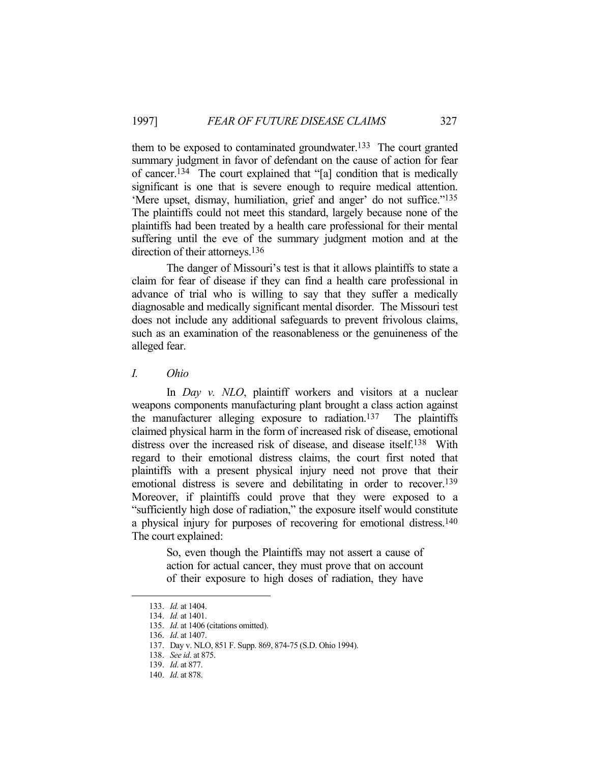them to be exposed to contaminated groundwater.133 The court granted summary judgment in favor of defendant on the cause of action for fear of cancer.134 The court explained that "[a] condition that is medically significant is one that is severe enough to require medical attention. 'Mere upset, dismay, humiliation, grief and anger' do not suffice."135 The plaintiffs could not meet this standard, largely because none of the plaintiffs had been treated by a health care professional for their mental suffering until the eve of the summary judgment motion and at the direction of their attorneys.<sup>136</sup>

 The danger of Missouri's test is that it allows plaintiffs to state a claim for fear of disease if they can find a health care professional in advance of trial who is willing to say that they suffer a medically diagnosable and medically significant mental disorder. The Missouri test does not include any additional safeguards to prevent frivolous claims, such as an examination of the reasonableness or the genuineness of the alleged fear.

*I. Ohio* 

In *Day v. NLO*, plaintiff workers and visitors at a nuclear weapons components manufacturing plant brought a class action against the manufacturer alleging exposure to radiation.137 The plaintiffs claimed physical harm in the form of increased risk of disease, emotional distress over the increased risk of disease, and disease itself. 138 With regard to their emotional distress claims, the court first noted that plaintiffs with a present physical injury need not prove that their emotional distress is severe and debilitating in order to recover.139 Moreover, if plaintiffs could prove that they were exposed to a "sufficiently high dose of radiation," the exposure itself would constitute a physical injury for purposes of recovering for emotional distress.140 The court explained:

> So, even though the Plaintiffs may not assert a cause of action for actual cancer, they must prove that on account of their exposure to high doses of radiation, they have

 <sup>133.</sup> *Id.* at 1404.

 <sup>134.</sup> *Id.* at 1401.

 <sup>135.</sup> *Id*. at 1406 (citations omitted).

 <sup>136.</sup> *Id*. at 1407.

 <sup>137.</sup> Day v. NLO, 851 F. Supp. 869, 874-75 (S.D. Ohio 1994).

 <sup>138.</sup> *See id*. at 875.

 <sup>139.</sup> *Id*. at 877.

 <sup>140.</sup> *Id*. at 878.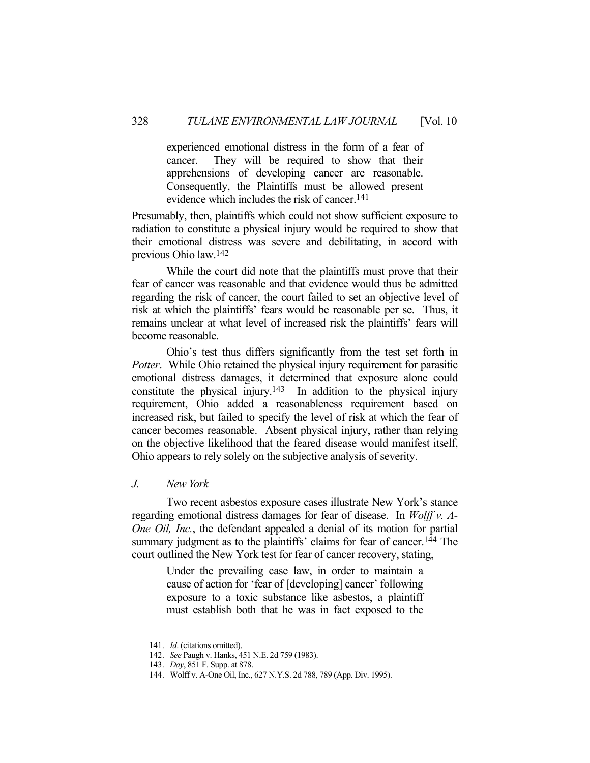experienced emotional distress in the form of a fear of cancer. They will be required to show that their apprehensions of developing cancer are reasonable. Consequently, the Plaintiffs must be allowed present evidence which includes the risk of cancer.141

Presumably, then, plaintiffs which could not show sufficient exposure to radiation to constitute a physical injury would be required to show that their emotional distress was severe and debilitating, in accord with previous Ohio law.142

 While the court did note that the plaintiffs must prove that their fear of cancer was reasonable and that evidence would thus be admitted regarding the risk of cancer, the court failed to set an objective level of risk at which the plaintiffs' fears would be reasonable per se. Thus, it remains unclear at what level of increased risk the plaintiffs' fears will become reasonable.

 Ohio's test thus differs significantly from the test set forth in *Potter*. While Ohio retained the physical injury requirement for parasitic emotional distress damages, it determined that exposure alone could constitute the physical injury.143 In addition to the physical injury requirement, Ohio added a reasonableness requirement based on increased risk, but failed to specify the level of risk at which the fear of cancer becomes reasonable. Absent physical injury, rather than relying on the objective likelihood that the feared disease would manifest itself, Ohio appears to rely solely on the subjective analysis of severity.

#### *J. New York*

 Two recent asbestos exposure cases illustrate New York's stance regarding emotional distress damages for fear of disease. In *Wolff v. A-One Oil, Inc.*, the defendant appealed a denial of its motion for partial summary judgment as to the plaintiffs' claims for fear of cancer.<sup>144</sup> The court outlined the New York test for fear of cancer recovery, stating,

> Under the prevailing case law, in order to maintain a cause of action for 'fear of [developing] cancer' following exposure to a toxic substance like asbestos, a plaintiff must establish both that he was in fact exposed to the

 <sup>141.</sup> *Id*. (citations omitted).

 <sup>142.</sup> *See* Paugh v. Hanks, 451 N.E. 2d 759 (1983).

 <sup>143.</sup> *Day*, 851 F. Supp. at 878.

 <sup>144.</sup> Wolff v. A-One Oil, Inc., 627 N.Y.S. 2d 788, 789 (App. Div. 1995).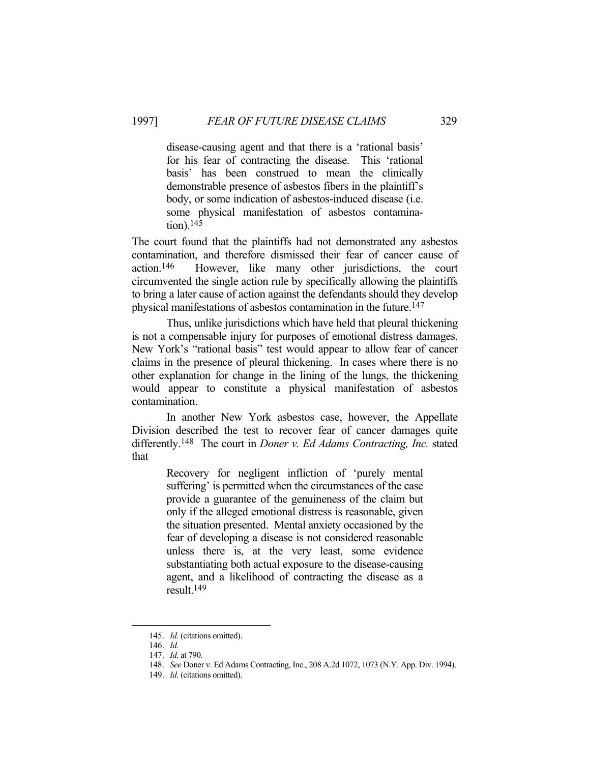disease-causing agent and that there is a 'rational basis' for his fear of contracting the disease. This 'rational basis' has been construed to mean the clinically demonstrable presence of asbestos fibers in the plaintiff's body, or some indication of asbestos-induced disease (i.e. some physical manifestation of asbestos contamination).145

The court found that the plaintiffs had not demonstrated any asbestos contamination, and therefore dismissed their fear of cancer cause of action.146 However, like many other jurisdictions, the court circumvented the single action rule by specifically allowing the plaintiffs to bring a later cause of action against the defendants should they develop physical manifestations of asbestos contamination in the future. 147

 Thus, unlike jurisdictions which have held that pleural thickening is not a compensable injury for purposes of emotional distress damages, New York's "rational basis" test would appear to allow fear of cancer claims in the presence of pleural thickening. In cases where there is no other explanation for change in the lining of the lungs, the thickening would appear to constitute a physical manifestation of asbestos contamination.

 In another New York asbestos case, however, the Appellate Division described the test to recover fear of cancer damages quite differently.148 The court in *Doner v. Ed Adams Contracting, Inc.* stated that

> Recovery for negligent infliction of 'purely mental suffering' is permitted when the circumstances of the case provide a guarantee of the genuineness of the claim but only if the alleged emotional distress is reasonable, given the situation presented. Mental anxiety occasioned by the fear of developing a disease is not considered reasonable unless there is, at the very least, some evidence substantiating both actual exposure to the disease-causing agent, and a likelihood of contracting the disease as a result.149

 <sup>145.</sup> *Id.* (citations omitted).

 <sup>146.</sup> *Id.*

 <sup>147.</sup> *Id.* at 790.

 <sup>148.</sup> *See* Doner v. Ed Adams Contracting, Inc., 208 A.2d 1072, 1073 (N.Y. App. Div. 1994).

 <sup>149.</sup> *Id*. (citations omitted).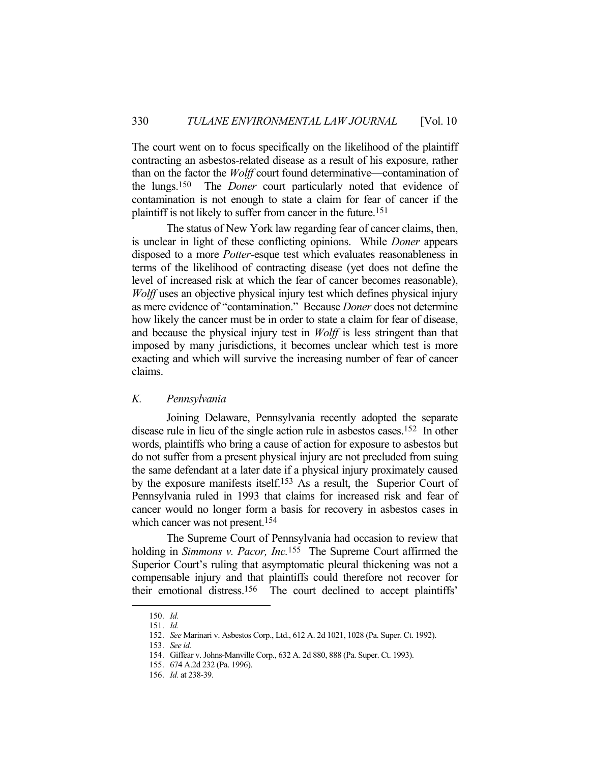The court went on to focus specifically on the likelihood of the plaintiff contracting an asbestos-related disease as a result of his exposure, rather than on the factor the *Wolff* court found determinative—contamination of the lungs.150 The *Doner* court particularly noted that evidence of contamination is not enough to state a claim for fear of cancer if the plaintiff is not likely to suffer from cancer in the future.151

 The status of New York law regarding fear of cancer claims, then, is unclear in light of these conflicting opinions. While *Doner* appears disposed to a more *Potter*-esque test which evaluates reasonableness in terms of the likelihood of contracting disease (yet does not define the level of increased risk at which the fear of cancer becomes reasonable), *Wolff* uses an objective physical injury test which defines physical injury as mere evidence of "contamination." Because *Doner* does not determine how likely the cancer must be in order to state a claim for fear of disease, and because the physical injury test in *Wolff* is less stringent than that imposed by many jurisdictions, it becomes unclear which test is more exacting and which will survive the increasing number of fear of cancer claims.

### *K. Pennsylvania*

 Joining Delaware, Pennsylvania recently adopted the separate disease rule in lieu of the single action rule in asbestos cases.152 In other words, plaintiffs who bring a cause of action for exposure to asbestos but do not suffer from a present physical injury are not precluded from suing the same defendant at a later date if a physical injury proximately caused by the exposure manifests itself.153 As a result, the Superior Court of Pennsylvania ruled in 1993 that claims for increased risk and fear of cancer would no longer form a basis for recovery in asbestos cases in which cancer was not present.<sup>154</sup>

 The Supreme Court of Pennsylvania had occasion to review that holding in *Simmons v. Pacor, Inc.*155 The Supreme Court affirmed the Superior Court's ruling that asymptomatic pleural thickening was not a compensable injury and that plaintiffs could therefore not recover for their emotional distress.156 The court declined to accept plaintiffs'

 <sup>150.</sup> *Id.*

 <sup>151.</sup> *Id.*

 <sup>152.</sup> *See* Marinari v. Asbestos Corp., Ltd., 612 A. 2d 1021, 1028 (Pa. Super. Ct. 1992).

 <sup>153.</sup> *See id.*

 <sup>154.</sup> Giffear v. Johns-Manville Corp., 632 A. 2d 880, 888 (Pa. Super. Ct. 1993).

 <sup>155. 674</sup> A.2d 232 (Pa. 1996).

 <sup>156.</sup> *Id.* at 238-39.